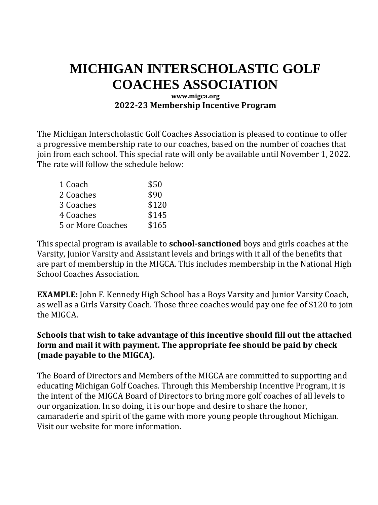## **MICHIGAN INTERSCHOLASTIC GOLF COACHES ASSOCIATION**

## **www.migca.org 2022-23 Membership Incentive Program**

The Michigan Interscholastic Golf Coaches Association is pleased to continue to offer a progressive membership rate to our coaches, based on the number of coaches that join from each school. This special rate will only be available until November 1, 2022. The rate will follow the schedule below:

| 1 Coach           | \$50  |
|-------------------|-------|
| 2 Coaches         | \$90  |
| 3 Coaches         | \$120 |
| 4 Coaches         | \$145 |
| 5 or More Coaches | \$165 |
|                   |       |

This special program is available to **school-sanctioned** boys and girls coaches at the Varsity, Junior Varsity and Assistant levels and brings with it all of the benefits that are part of membership in the MIGCA. This includes membership in the National High School Coaches Association.

**EXAMPLE:** John F. Kennedy High School has a Boys Varsity and Junior Varsity Coach, as well as a Girls Varsity Coach. Those three coaches would pay one fee of \$120 to join the MIGCA.

## **Schools that wish to take advantage of this incentive should fill out the attached form and mail it with payment. The appropriate fee should be paid by check (made payable to the MIGCA).**

The Board of Directors and Members of the MIGCA are committed to supporting and educating Michigan Golf Coaches. Through this Membership Incentive Program, it is the intent of the MIGCA Board of Directors to bring more golf coaches of all levels to our organization. In so doing, it is our hope and desire to share the honor, camaraderie and spirit of the game with more young people throughout Michigan. Visit our website for more information.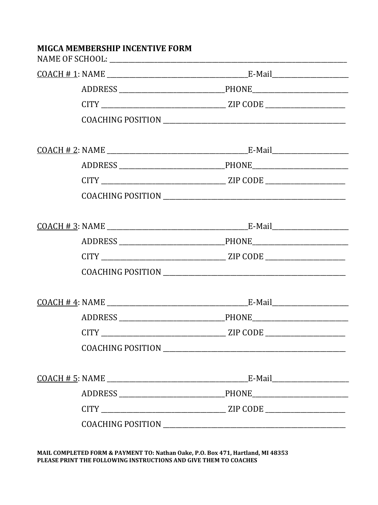| <b>MIGCA MEMBERSHIP INCENTIVE FORM</b> |               |
|----------------------------------------|---------------|
|                                        |               |
|                                        |               |
|                                        |               |
|                                        |               |
|                                        |               |
|                                        |               |
|                                        |               |
|                                        |               |
|                                        |               |
|                                        |               |
|                                        |               |
|                                        |               |
|                                        |               |
|                                        | PHONE________ |
|                                        |               |
|                                        |               |
|                                        |               |
|                                        |               |
|                                        |               |
|                                        |               |

MAIL COMPLETED FORM & PAYMENT TO: Nathan Oake, P.O. Box 471, Hartland, MI 48353 PLEASE PRINT THE FOLLOWING INSTRUCTIONS AND GIVE THEM TO COACHES